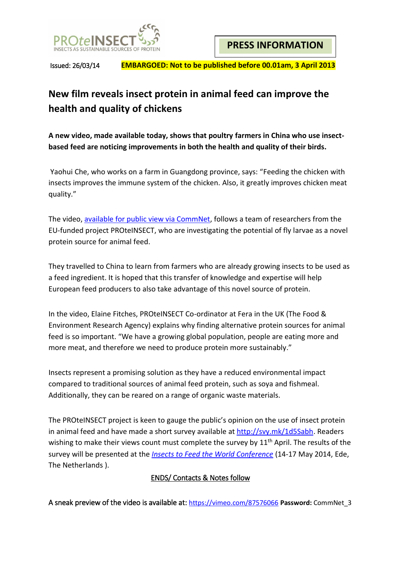

Issued: 26/03/14 **EMBARGOED: Not to be published before 00.01am, 3 April 2013**

# **New film reveals insect protein in animal feed can improve the health and quality of chickens**

**A new video, made available today, shows that poultry farmers in China who use insectbased feed are noticing improvements in both the health and quality of their birds.**

Yaohui Che, who works on a farm in Guangdong province, says: "Feeding the chicken with insects improves the immune system of the chicken. Also, it greatly improves chicken meat quality."

The video, [available for public view via CommNet,](http://commnet.eu/05_News) follows a team of researchers from the EU-funded project PROteINSECT, who are investigating the potential of fly larvae as a novel protein source for animal feed.

They travelled to China to learn from farmers who are already growing insects to be used as a feed ingredient. It is hoped that this transfer of knowledge and expertise will help European feed producers to also take advantage of this novel source of protein.

In the video, Elaine Fitches, PROteINSECT Co-ordinator at Fera in the UK (The Food & Environment Research Agency) explains why finding alternative protein sources for animal feed is so important. "We have a growing global population, people are eating more and more meat, and therefore we need to produce protein more sustainably."

Insects represent a promising solution as they have a reduced environmental impact compared to traditional sources of animal feed protein, such as soya and fishmeal. Additionally, they can be reared on a range of organic waste materials.

The PROteINSECT project is keen to gauge the public's opinion on the use of insect protein in animal feed and have made a short survey available at [http://svy.mk/1d5Sabh.](http://svy.mk/1d5Sabh) Readers wishing to make their views count must complete the survey by  $11<sup>th</sup>$  April. The results of the survey will be presented at the *[Insects to Feed the World Conference](https://www.wageningenur.nl/en/show/Insects-to-feed-the-world.htm)* (14-17 May 2014, Ede, The Netherlands ).

## ENDS/ Contacts & Notes follow

A sneak preview of the video is available at: <https://vimeo.com/87576066> **Password:** CommNet\_3